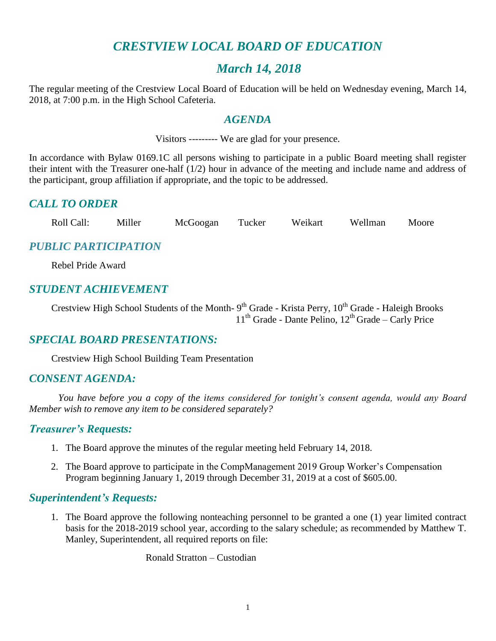# *CRESTVIEW LOCAL BOARD OF EDUCATION*

# *March 14, 2018*

The regular meeting of the Crestview Local Board of Education will be held on Wednesday evening, March 14, 2018, at 7:00 p.m. in the High School Cafeteria.

#### *AGENDA*

Visitors --------- We are glad for your presence.

In accordance with Bylaw 0169.1C all persons wishing to participate in a public Board meeting shall register their intent with the Treasurer one-half (1/2) hour in advance of the meeting and include name and address of the participant, group affiliation if appropriate, and the topic to be addressed.

# *CALL TO ORDER*

Roll Call: Miller McGoogan Tucker Weikart Wellman Moore

# *PUBLIC PARTICIPATION*

Rebel Pride Award

### *STUDENT ACHIEVEMENT*

Crestview High School Students of the Month- 9<sup>th</sup> Grade - Krista Perry, 10<sup>th</sup> Grade - Haleigh Brooks  $11<sup>th</sup>$  Grade - Dante Pelino,  $12<sup>th</sup>$  Grade – Carly Price

# *SPECIAL BOARD PRESENTATIONS:*

Crestview High School Building Team Presentation

#### *CONSENT AGENDA:*

*You have before you a copy of the items considered for tonight's consent agenda, would any Board Member wish to remove any item to be considered separately?*

#### *Treasurer's Requests:*

- 1. The Board approve the minutes of the regular meeting held February 14, 2018.
- 2. The Board approve to participate in the CompManagement 2019 Group Worker's Compensation Program beginning January 1, 2019 through December 31, 2019 at a cost of \$605.00.

#### *Superintendent's Requests:*

1. The Board approve the following nonteaching personnel to be granted a one (1) year limited contract basis for the 2018-2019 school year, according to the salary schedule; as recommended by Matthew T. Manley, Superintendent, all required reports on file:

Ronald Stratton – Custodian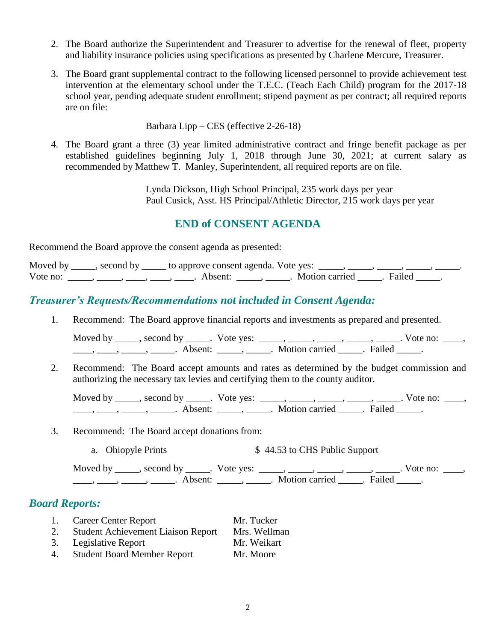- 2. The Board authorize the Superintendent and Treasurer to advertise for the renewal of fleet, property and liability insurance policies using specifications as presented by Charlene Mercure, Treasurer.
- 3. The Board grant supplemental contract to the following licensed personnel to provide achievement test intervention at the elementary school under the T.E.C. (Teach Each Child) program for the 2017-18 school year, pending adequate student enrollment; stipend payment as per contract; all required reports are on file:

Barbara Lipp – CES (effective 2-26-18)

4. The Board grant a three (3) year limited administrative contract and fringe benefit package as per established guidelines beginning July 1, 2018 through June 30, 2021; at current salary as recommended by Matthew T. Manley, Superintendent, all required reports are on file.

> Lynda Dickson, High School Principal, 235 work days per year Paul Cusick, Asst. HS Principal/Athletic Director, 215 work days per year

# **END of CONSENT AGENDA**

Recommend the Board approve the consent agenda as presented:

| Moved by | second by | _ to approve consent agenda. Vote yes: |                |        |  |
|----------|-----------|----------------------------------------|----------------|--------|--|
| Vote no: |           | A bsent                                | Motion carried | Failed |  |

# *Treasurer's Requests/Recommendations not included in Consent Agenda:*

1. Recommend: The Board approve financial reports and investments as prepared and presented.

Moved by \_\_\_\_\_, second by \_\_\_\_\_. Vote yes: \_\_\_\_\_, \_\_\_\_\_, \_\_\_\_\_, \_\_\_\_\_, Vote no: \_\_\_\_, \_\_\_\_, \_\_\_\_\_, \_\_\_\_\_\_, Absent: \_\_\_\_\_, \_\_\_\_\_. Motion carried \_\_\_\_\_. Failed \_\_\_\_\_.

2. Recommend: The Board accept amounts and rates as determined by the budget commission and authorizing the necessary tax levies and certifying them to the county auditor.

Moved by \_\_\_\_\_, second by \_\_\_\_\_. Vote yes: \_\_\_\_\_, \_\_\_\_\_, \_\_\_\_\_, \_\_\_\_\_, \_\_\_\_\_. Vote no: \_\_\_\_, ——, ——, ——, ———, Absent: \_\_\_\_, \_\_\_\_\_. Motion carried \_\_\_\_\_. Failed \_\_\_\_.

- 3. Recommend: The Board accept donations from:
	- a. Ohiopyle Prints  $$ 44.53$  to CHS Public Support

Moved by \_\_\_\_\_, second by \_\_\_\_\_. Vote yes:  $\_\_\_\_\_\_\_\_\_\_\_\_\_\_\_$  \_\_\_\_\_, \_\_\_\_\_, \_\_\_\_\_. Vote no:  $\_\_\_\_\_\_\$ \_\_\_\_, \_\_\_\_\_, \_\_\_\_\_\_, Absent: \_\_\_\_\_, \_\_\_\_\_. Motion carried \_\_\_\_\_. Failed \_\_\_\_\_.

#### *Board Reports:*

| <b>Career Center Report</b> | Mr. Tucker |
|-----------------------------|------------|
|                             |            |

- 2. Student Achievement Liaison Report Mrs. Wellman 3. Legislative Report Mr. Weikart
- 
- 4. Student Board Member Report Mr. Moore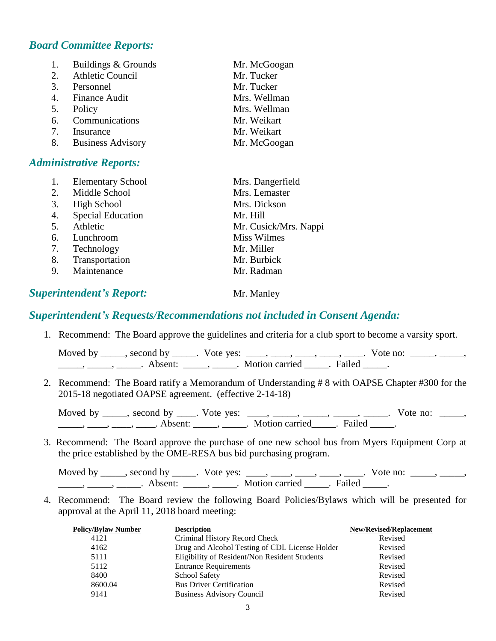# *Board Committee Reports:*

| 1. | Buildings & Grounds  | Mr. McGoogan |
|----|----------------------|--------------|
|    | 2. Athletic Council  | Mr. Tucker   |
|    | 3. Personnel         | Mr. Tucker   |
|    | 4. Finance Audit     | Mrs. Wellman |
| 5. | Policy               | Mrs. Wellman |
|    | 6. Communications    | Mr. Weikart  |
| 7. | Insurance            | Mr. Weikart  |
|    | 8. Business Advisory | Mr. McGoogan |

#### *Administrative Reports:*

|    | <b>Elementary School</b> | Mrs. Dangerfield      |
|----|--------------------------|-----------------------|
| 2. | Middle School            | Mrs. Lemaster         |
| 3. | High School              | Mrs. Dickson          |
| 4. | <b>Special Education</b> | Mr. Hill              |
| 5. | Athletic                 | Mr. Cusick/Mrs. Nappi |
| 6. | Lunchroom                | <b>Miss Wilmes</b>    |
| 7. | Technology               | Mr. Miller            |
| 8. | Transportation           | Mr. Burbick           |
| 9. | Maintenance              | Mr. Radman            |
|    |                          |                       |

# **Superintendent's Report:** Mr. Manley

#### *Superintendent's Requests/Recommendations not included in Consent Agenda:*

1. Recommend: The Board approve the guidelines and criteria for a club sport to become a varsity sport.

Moved by \_\_\_\_, second by \_\_\_\_\_. Vote yes:  $\underline{\hspace{1cm}}, \underline{\hspace{1cm}}, \underline{\hspace{1cm}}, \underline{\hspace{1cm}}, \underline{\hspace{1cm}}, \underline{\hspace{1cm}}$ . Vote no: \_\_\_\_, \_\_\_\_, \_\_\_\_\_\_, \_\_\_\_\_\_, Absent: \_\_\_\_\_, \_\_\_\_\_. Motion carried \_\_\_\_\_. Failed \_\_\_\_\_.

2. Recommend: The Board ratify a Memorandum of Understanding # 8 with OAPSE Chapter #300 for the 2015-18 negotiated OAPSE agreement. (effective 2-14-18)

Moved by \_\_\_\_, second by \_\_\_\_. Vote yes: \_\_\_, \_\_\_\_, \_\_\_\_, \_\_\_\_, \_\_\_\_. Vote no: \_\_\_\_, \_\_\_\_\_\_, \_\_\_\_\_, \_\_\_\_\_. Absent: \_\_\_\_\_\_, \_\_\_\_\_\_. Motion carried \_\_\_\_\_. Failed \_\_\_\_\_.

3. Recommend: The Board approve the purchase of one new school bus from Myers Equipment Corp at the price established by the OME-RESA bus bid purchasing program.

Moved by \_\_\_\_\_, second by \_\_\_\_\_. Vote yes: \_\_\_\_, \_\_\_\_, \_\_\_\_, \_\_\_\_, \_\_\_\_. Vote no: \_\_\_\_\_, \_\_\_\_\_,  $\frac{1}{\sqrt{2}}$ ,  $\frac{1}{\sqrt{2}}$ ,  $\frac{1}{\sqrt{2}}$ ,  $\frac{1}{\sqrt{2}}$ ,  $\frac{1}{\sqrt{2}}$ ,  $\frac{1}{\sqrt{2}}$ ,  $\frac{1}{\sqrt{2}}$ ,  $\frac{1}{\sqrt{2}}$ ,  $\frac{1}{\sqrt{2}}$ ,  $\frac{1}{\sqrt{2}}$ ,  $\frac{1}{\sqrt{2}}$ ,  $\frac{1}{\sqrt{2}}$ ,  $\frac{1}{\sqrt{2}}$ ,  $\frac{1}{\sqrt{2}}$ ,  $\frac{1}{\sqrt{2}}$ ,  $\frac{1}{\sqrt{2}}$ 

4. Recommend: The Board review the following Board Policies/Bylaws which will be presented for approval at the April 11, 2018 board meeting:

| <b>Policy/Bylaw Number</b> | <b>Description</b>                             | <b>New/Revised/Replacement</b> |
|----------------------------|------------------------------------------------|--------------------------------|
| 4121                       | Criminal History Record Check                  | Revised                        |
| 4162                       | Drug and Alcohol Testing of CDL License Holder | Revised                        |
| 5111                       | Eligibility of Resident/Non Resident Students  | Revised                        |
| 5112                       | <b>Entrance Requirements</b>                   | Revised                        |
| 8400                       | <b>School Safety</b>                           | Revised                        |
| 8600.04                    | <b>Bus Driver Certification</b>                | Revised                        |
| 9141                       | <b>Business Advisory Council</b>               | Revised                        |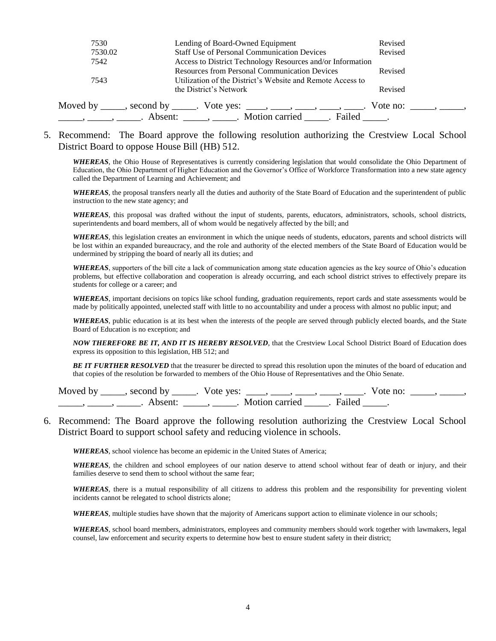| 7530<br>7530.02 | Lending of Board-Owned Equipment<br><b>Staff Use of Personal Communication Devices</b>                             | Revised<br>Revised                                  |
|-----------------|--------------------------------------------------------------------------------------------------------------------|-----------------------------------------------------|
| 7542            | Access to District Technology Resources and/or Information                                                         |                                                     |
| 7543            | <b>Resources from Personal Communication Devices</b><br>Utilization of the District's Website and Remote Access to | Revised                                             |
|                 | the District's Network                                                                                             | Revised                                             |
|                 | Moved by ______, second by ______. Vote yes: _____, _____, _____, _____, ______                                    | Vote no: $\qquad \qquad \qquad$ , $\qquad \qquad$ , |
|                 | Absent: _____, _____. Motion carried _____. Failed _____.                                                          |                                                     |

5. Recommend: The Board approve the following resolution authorizing the Crestview Local School District Board to oppose House Bill (HB) 512.

*WHEREAS*, the Ohio House of Representatives is currently considering legislation that would consolidate the Ohio Department of Education, the Ohio Department of Higher Education and the Governor's Office of Workforce Transformation into a new state agency called the Department of Learning and Achievement; and

*WHEREAS*, the proposal transfers nearly all the duties and authority of the State Board of Education and the superintendent of public instruction to the new state agency; and

*WHEREAS*, this proposal was drafted without the input of students, parents, educators, administrators, schools, school districts, superintendents and board members, all of whom would be negatively affected by the bill; and

*WHEREAS*, this legislation creates an environment in which the unique needs of students, educators, parents and school districts will be lost within an expanded bureaucracy, and the role and authority of the elected members of the State Board of Education would be undermined by stripping the board of nearly all its duties; and

*WHEREAS*, supporters of the bill cite a lack of communication among state education agencies as the key source of Ohio's education problems, but effective collaboration and cooperation is already occurring, and each school district strives to effectively prepare its students for college or a career; and

*WHEREAS*, important decisions on topics like school funding, graduation requirements, report cards and state assessments would be made by politically appointed, unelected staff with little to no accountability and under a process with almost no public input; and

*WHEREAS*, public education is at its best when the interests of the people are served through publicly elected boards, and the State Board of Education is no exception; and

*NOW THEREFORE BE IT, AND IT IS HEREBY RESOLVED*, that the Crestview Local School District Board of Education does express its opposition to this legislation, HB 512; and

*BE IT FURTHER RESOLVED* that the treasurer be directed to spread this resolution upon the minutes of the board of education and that copies of the resolution be forwarded to members of the Ohio House of Representatives and the Ohio Senate.

Moved by \_\_\_\_, second by \_\_\_\_\_. Vote yes: \_\_\_\_, \_\_\_\_, \_\_\_\_, \_\_\_\_, \_\_\_\_. Vote no: \_\_\_\_\_, \_\_\_\_\_, \_\_\_\_\_\_, \_\_\_\_\_\_, Absent: \_\_\_\_\_, \_\_\_\_\_. Motion carried \_\_\_\_\_. Failed \_\_\_\_\_.

6. Recommend: The Board approve the following resolution authorizing the Crestview Local School District Board to support school safety and reducing violence in schools.

*WHEREAS*, school violence has become an epidemic in the United States of America;

*WHEREAS*, the children and school employees of our nation deserve to attend school without fear of death or injury, and their families deserve to send them to school without the same fear;

*WHEREAS*, there is a mutual responsibility of all citizens to address this problem and the responsibility for preventing violent incidents cannot be relegated to school districts alone;

*WHEREAS*, multiple studies have shown that the majority of Americans support action to eliminate violence in our schools;

*WHEREAS*, school board members, administrators, employees and community members should work together with lawmakers, legal counsel, law enforcement and security experts to determine how best to ensure student safety in their district;